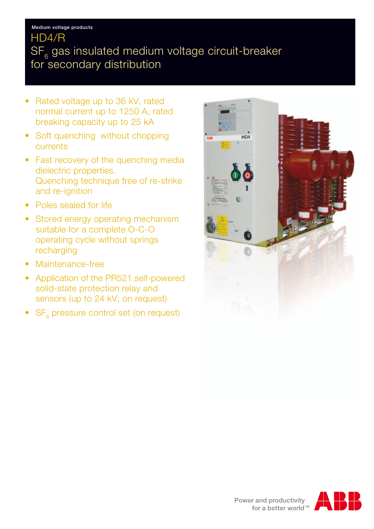### Medium voltage products

## HD4/R

# $SF<sub>6</sub>$  gas insulated medium voltage circuit-breaker for secondary distribution

- Rated voltage up to 36 kV, rated normal current up to 1250 A, rated breaking capacity up to 25 kA
- Soft quenching without chopping currents
- Fast recovery of the quenching media dielectric properties. Quenching technique free of re-strike and re-ignition
- Poles sealed for life
- Stored energy operating mechanism suitable for a complete O-C-O operating cycle without springs recharging
- Maintenance-free
- Application of the PR521 self-powered solid-state protection relay and sensors (up to 24 kV; on request)
- SF<sub>e</sub> pressure control set (on request)